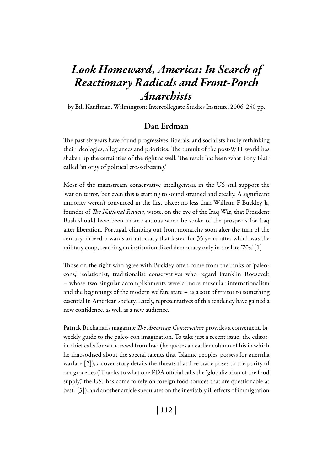# *Look Homeward, America: In Search of Reactionary Radicals and Front-Porch Anarchists*

by Bill Kauffman, Wilmington: Intercollegiate Studies Institute, 2006, 250 pp.

# Dan Erdman

The past six years have found progressives, liberals, and socialists busily rethinking their ideologies, allegiances and priorities. The tumult of the post-9/11 world has shaken up the certainties of the right as well. The result has been what Tony Blair called 'an orgy of political cross-dressing.'

Most of the mainstream conservative intelligentsia in the US still support the 'war on terror,' but even this is starting to sound strained and creaky. A significant minority weren't convinced in the first place; no less than William F Buckley Jr, founder of *The National Review*, wrote, on the eve of the Iraq War, that President Bush should have been 'more cautious when he spoke of the prospects for Iraq after liberation. Portugal, climbing out from monarchy soon after the turn of the century, moved towards an autocracy that lasted for 35 years, after which was the military coup, reaching an institutionalized democracy only in the late '70s.' [1]

Those on the right who agree with Buckley often come from the ranks of 'paleocons,' isolationist, traditionalist conservatives who regard Franklin Roosevelt – whose two singular accomplishments were a more muscular internationalism and the beginnings of the modern welfare state – as a sort of traitor to something essential in American society. Lately, representatives of this tendency have gained a new confidence, as well as a new audience.

Patrick Buchanan's magazine *The American Conservative* provides a convenient, biweekly guide to the paleo-con imagination. To take just a recent issue: the editorin-chief calls for withdrawal from Iraq (he quotes an earlier column of his in which he rhapsodised about the special talents that 'Islamic peoples' possess for guerrilla warfare [2]), a cover story details the threats that free trade poses to the purity of our groceries ('Thanks to what one FDA official calls the "globalization of the food supply," the US...has come to rely on foreign food sources that are questionable at best.' [3]), and another article speculates on the inevitably ill effects of immigration

| 112 |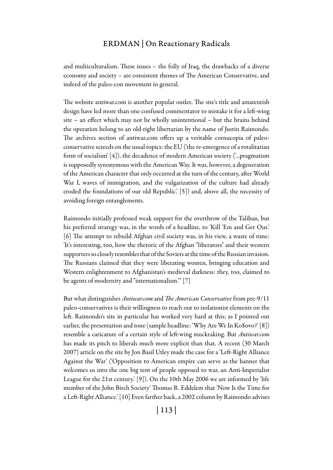and multiculturalism. These issues – the folly of Iraq, the drawbacks of a diverse economy and society – are consistent themes of The American Conservative, and indeed of the paleo-con movement in general.

The website antiwar.com is another popular outlet. The site's title and amateurish design have led more than one confused commentator to mistake it for a left-wing site – an effect which may not be wholly unintentional – but the brains behind the operation belong to an old-right libertarian by the name of Justin Raimondo. The archives section of antiwar.com offers up a veritable cornucopia of paleoconservative screeds on the usual topics: the EU ('the re-emergence of a totalitarian form of socialism' [4]), the decadence of modern American society ('...pragmatism is supposedly synonymous with the American Way. It was, however, a degeneration of the American character that only occurred at the turn of the century, after World War I, waves of immigration, and the vulgarization of the culture had already eroded the foundations of our old Republic.' [5]) and, above all, the necessity of avoiding foreign entanglements.

Raimondo initially professed weak support for the overthrow of the Taliban, but his preferred strategy was, in the words of a headline, to 'Kill 'Em and Get Out.' [6] The attempt to rebuild Afghan civil society was, in his view, a waste of time: 'It's interesting, too, how the rhetoric of the Afghan "liberators" and their western supporters so closely resembles that of the Soviets at the time of the Russian invasion. The Russians claimed that they were liberating women, bringing education and Western enlightenment to Afghanistan's medieval darkness: they, too, claimed to be agents of modernity and "internationalism."' [7]

But what distinguishes *Antiwar.com* and *The American Conservative* from pre-9/11 paleo-conservatives is their willingness to reach out to isolationist elements on the left. Raimondo's site in particular has worked very hard at this; as I pointed out earlier, the presentation and tone (sample headline: 'Why Are We In Ko\$ovo?' [8]) resemble a caricature of a certain style of left-wing muckraking. But *Antiwar.com* has made its pitch to liberals much more explicit than that. A recent (30 March 2007) article on the site by Jon Basil Utley made the case for a 'Left-Right Alliance Against the War' ('Opposition to American empire can serve as the banner that welcomes us into the one big tent of people opposed to war, an Anti-Imperialist League for the 21st century.' [9]). On the 10th May 2006 we are informed by 'life member of the John Birch Society' Thomas R. Eddelem that 'Now Is the Time for a Left-Right Alliance.' [10] Even farther back, a 2002 column by Raimondo advises

| 113 |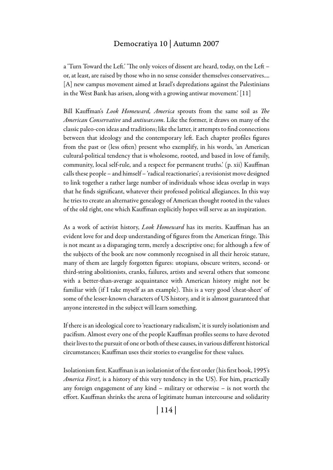## Democratiya 10 | Autumn 2007

a 'Turn Toward the Left.' 'The only voices of dissent are heard, today, on the Left – or, at least, are raised by those who in no sense consider themselves conservatives.... [A] new campus movement aimed at Israel's depredations against the Palestinians in the West Bank has arisen, along with a growing antiwar movement.' [11]

Bill Kauffman's *Look Homeward, America* sprouts from the same soil as *The American Conservative* and *antiwar.com*. Like the former, it draws on many of the classic paleo-con ideas and traditions; like the latter, it attempts to find connections between that ideology and the contemporary left. Each chapter profiles figures from the past or (less often) present who exemplify, in his words, 'an American cultural-political tendency that is wholesome, rooted, and based in love of family, community, local self-rule, and a respect for permanent truths.' (p. xii) Kauffman calls these people – and himself – 'radical reactionaries'; a revisionist move designed to link together a rather large number of individuals whose ideas overlap in ways that he finds significant, whatever their professed political allegiances. In this way he tries to create an alternative genealogy of American thought rooted in the values of the old right, one which Kauffman explicitly hopes will serve as an inspiration.

As a work of activist history, *Look Homeward* has its merits. Kauffman has an evident love for and deep understanding of figures from the American fringe. This is not meant as a disparaging term, merely a descriptive one; for although a few of the subjects of the book are now commonly recognised in all their heroic stature, many of them are largely forgotten figures: utopians, obscure writers, second- or third-string abolitionists, cranks, failures, artists and several others that someone with a better-than-average acquaintance with American history might not be familiar with (if I take myself as an example). This is a very good 'cheat-sheet' of some of the lesser-known characters of US history, and it is almost guaranteed that anyone interested in the subject will learn something.

If there is an ideological core to 'reactionary radicalism,' it is surely isolationism and pacifism. Almost every one of the people Kauffman profiles seems to have devoted their lives to the pursuit of one or both of these causes, in various different historical circumstances; Kauffman uses their stories to evangelise for these values.

Isolationism first. Kauffman is an isolationist of the first order (his first book, 1995's *America First!*, is a history of this very tendency in the US). For him, practically any foreign engagement of any kind – military or otherwise – is not worth the effort. Kauffman shrinks the arena of legitimate human intercourse and solidarity

| 114 |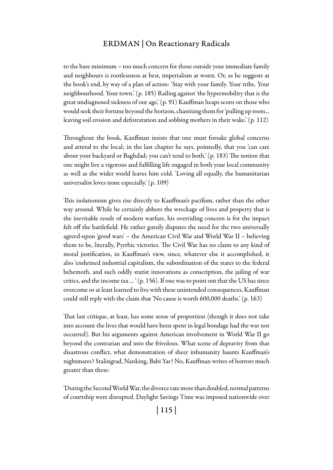to the bare minimum – too much concern for those outside your immediate family and neighbours is rootlessness at best, imperialism at worst. Or, as he suggests at the book's end, by way of a plan of action: 'Stay with your family. Your tribe. Your neighbourhood. Your town.' (p. 185) Railing against 'the hypermobility that is the great undiagnosed sickness of our age,' (p. 91) Kauffman heaps scorn on those who would seek their fortune beyond the horizon, chastising them for 'pulling up roots... leaving soil erosion and deforestation and sobbing mothers in their wake.' (p. 112)

Throughout the book, Kauffman insists that one must forsake global concerns and attend to the local; in the last chapter he says, pointedly, that you 'can care about your backyard or Baghdad; you can't tend to both.' (p. 183) The notion that one might live a vigorous and fulfilling life engaged in both your local community as well as the wider world leaves him cold. 'Loving all equally, the humanitarian universalist loves none especially.' (p. 109)

This isolationism gives rise directly to Kauffman's pacifism, rather than the other way around. While he certainly abhors the wreckage of lives and property that is the inevitable result of modern warfare, his overriding concern is for the impact felt off the battlefield. He rather gutsily disputes the need for the two universally agreed-upon 'good wars' – the American Civil War and World War II – believing them to be, literally, Pyrrhic victories. The Civil War has no claim to any kind of moral justification, in Kauffman's view, since, whatever else it accomplished, it also 'enshrined industrial capitalism, the subordination of the states to the federal behemoth, and such oddly statist innovations as conscription, the jailing of war critics, and the income tax ... ' (p. 156). If one was to point out that the US has since overcome or at least learned to live with these unintended consequences, Kauffman could still reply with the claim that 'No cause is worth 600,000 deaths.' (p. 163)

That last critique, at least, has some sense of proportion (though it does not take into account the lives that would have been spent in legal bondage had the war not occurred). But his arguments against American involvement in World War II go beyond the contrarian and into the frivolous. What scene of depravity from that disastrous conflict, what demonstration of sheer inhumanity haunts Kauffman's nightmares? Stalingrad, Nanking, Babi Yar? No, Kauffman writes of horrors much greater than these:

'During the Second World War, the divorce rate more than doubled, normal patterns of courtship were disrupted. Daylight Savings Time was imposed nationwide over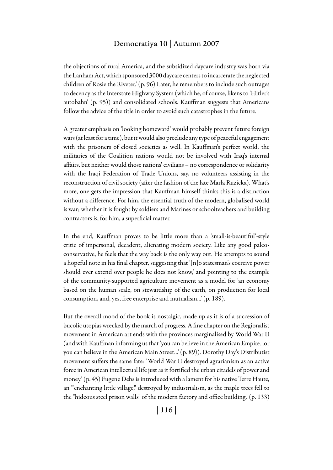#### Democratiya 10 | Autumn 2007

the objections of rural America, and the subsidized daycare industry was born via the Lanham Act, which sponsored 3000 daycare centers to incarcerate the neglected children of Rosie the Riveter.' (p. 96) Later, he remembers to include such outrages to decency as the Interstate Highway System (which he, of course, likens to 'Hitler's autobahn' (p. 95)) and consolidated schools. Kauffman suggests that Americans follow the advice of the title in order to avoid such catastrophes in the future.

A greater emphasis on 'looking homeward' would probably prevent future foreign wars (at least for a time), but it would also preclude any type of peaceful engagement with the prisoners of closed societies as well. In Kauffman's perfect world, the militaries of the Coalition nations would not be involved with Iraq's internal affairs, but neither would those nations' civilians – no correspondence or solidarity with the Iraqi Federation of Trade Unions, say, no volunteers assisting in the reconstruction of civil society (after the fashion of the late Marla Ruzicka). What's more, one gets the impression that Kauffman himself thinks this is a distinction without a difference. For him, the essential truth of the modern, globalised world is war; whether it is fought by soldiers and Marines or schoolteachers and building contractors is, for him, a superficial matter.

In the end, Kauffman proves to be little more than a 'small-is-beautiful'-style critic of impersonal, decadent, alienating modern society. Like any good paleoconservative, he feels that the way back is the only way out. He attempts to sound a hopeful note in his final chapter, suggesting that '[n]o statesman's coercive power should ever extend over people he does not know,' and pointing to the example of the community-supported agriculture movement as a model for 'an economy based on the human scale, on stewardship of the earth, on production for local consumption, and, yes, free enterprise and mutualism...' (p. 189).

But the overall mood of the book is nostalgic, made up as it is of a succession of bucolic utopias wrecked by the march of progress. A fine chapter on the Regionalist movement in American art ends with the provinces marginalised by World War II (and with Kauffman informing us that 'you can believe in the American Empire...or you can believe in the American Main Street...' (p. 89)). Dorothy Day's Distributist movement suffers the same fate: 'World War II destroyed agrarianism as an active force in American intellectual life just as it fortified the urban citadels of power and money.' (p. 45) Eugene Debs is introduced with a lament for his native Terre Haute, an '"enchanting little village," destroyed by industrialism, as the maple trees fell to the "hideous steel prison walls" of the modern factory and office building.' (p. 133)

| 116 |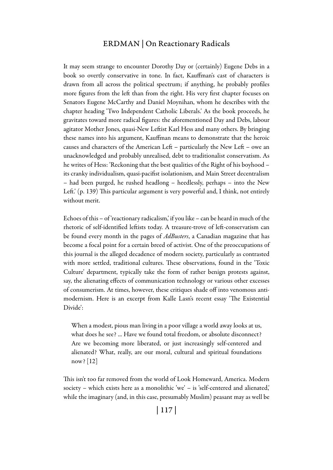It may seem strange to encounter Dorothy Day or (certainly) Eugene Debs in a book so overtly conservative in tone. In fact, Kauffman's cast of characters is drawn from all across the political spectrum; if anything, he probably profiles more figures from the left than from the right. His very first chapter focuses on Senators Eugene McCarthy and Daniel Moynihan, whom he describes with the chapter heading 'Two Independent Catholic Liberals.' As the book proceeds, he gravitates toward more radical figures: the aforementioned Day and Debs, labour agitator Mother Jones, quasi-New Leftist Karl Hess and many others. By bringing these names into his argument, Kauffman means to demonstrate that the heroic causes and characters of the American Left – particularly the New Left – owe an unacknowledged and probably unrealised, debt to traditionalist conservatism. As he writes of Hess: 'Reckoning that the best qualities of the Right of his boyhood – its cranky individualism, quasi-pacifist isolationism, and Main Street decentralism – had been purged, he rushed headlong – heedlessly, perhaps – into the New Left.' (p. 139) This particular argument is very powerful and, I think, not entirely without merit.

Echoes of this – of 'reactionary radicalism,' if you like – can be heard in much of the rhetoric of self-identified leftists today. A treasure-trove of left-conservatism can be found every month in the pages of *AdBusters*, a Canadian magazine that has become a focal point for a certain breed of activist. One of the preoccupations of this journal is the alleged decadence of modern society, particularly as contrasted with more settled, traditional cultures. These observations, found in the 'Toxic Culture' department, typically take the form of rather benign protests against, say, the alienating effects of communication technology or various other excesses of consumerism. At times, however, these critiques shade off into venomous antimodernism. Here is an excerpt from Kalle Lasn's recent essay 'The Existential Divide':

When a modest, pious man living in a poor village a world away looks at us, what does he see? ... Have we found total freedom, or absolute disconnect? Are we becoming more liberated, or just increasingly self-centered and alienated? What, really, are our moral, cultural and spiritual foundations now? [12]

This isn't too far removed from the world of Look Homeward, America. Modern society – which exists here as a monolithic 'we' – is 'self-centered and alienated,' while the imaginary (and, in this case, presumably Muslim) peasant may as well be

| 117 |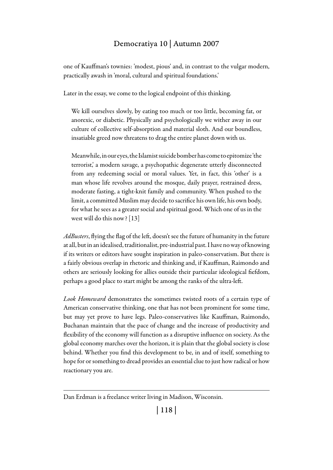# Democratiya 10 | Autumn 2007

one of Kauffman's townies: 'modest, pious' and, in contrast to the vulgar modern, practically awash in 'moral, cultural and spiritual foundations.'

Later in the essay, we come to the logical endpoint of this thinking.

We kill ourselves slowly, by eating too much or too little, becoming fat, or anorexic, or diabetic. Physically and psychologically we wither away in our culture of collective self-absorption and material sloth. And our boundless, insatiable greed now threatens to drag the entire planet down with us.

Meanwhile, in our eyes, the Islamist suicide bomber has come to epitomize 'the terrorist,' a modern savage, a psychopathic degenerate utterly disconnected from any redeeming social or moral values. Yet, in fact, this 'other' is a man whose life revolves around the mosque, daily prayer, restrained dress, moderate fasting, a tight-knit family and community. When pushed to the limit, a committed Muslim may decide to sacrifice his own life, his own body, for what he sees as a greater social and spiritual good. Which one of us in the west will do this now? [13]

*AdBusters*, flying the flag of the left, doesn't see the future of humanity in the future at all, but in an idealised, traditionalist, pre-industrial past. I have no way of knowing if its writers or editors have sought inspiration in paleo-conservatism. But there is a fairly obvious overlap in rhetoric and thinking and, if Kauffman, Raimondo and others are seriously looking for allies outside their particular ideological fiefdom, perhaps a good place to start might be among the ranks of the ultra-left.

*Look Homeward* demonstrates the sometimes twisted roots of a certain type of American conservative thinking, one that has not been prominent for some time, but may yet prove to have legs. Paleo-conservatives like Kauffman, Raimondo, Buchanan maintain that the pace of change and the increase of productivity and flexibility of the economy will function as a disruptive influence on society. As the global economy marches over the horizon, it is plain that the global society is close behind. Whether you find this development to be, in and of itself, something to hope for or something to dread provides an essential clue to just how radical or how reactionary you are.

Dan Erdman is a freelance writer living in Madison, Wisconsin.